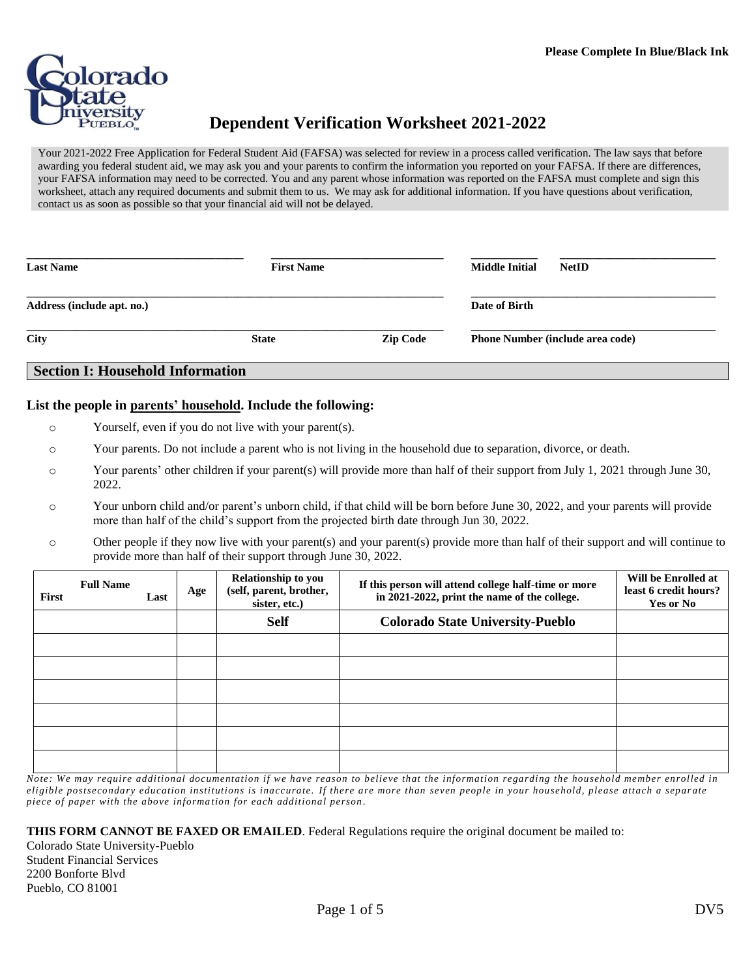

# **Dependent Verification Worksheet 2021-2022**

Your 2021-2022 Free Application for Federal Student Aid (FAFSA) was selected for review in a process called verification. The law says that before awarding you federal student aid, we may ask you and your parents to confirm the information you reported on your FAFSA. If there are differences, your FAFSA information may need to be corrected. You and any parent whose information was reported on the FAFSA must complete and sign this worksheet, attach any required documents and submit them to us. We may ask for additional information. If you have questions about verification, contact us as soon as possible so that your financial aid will not be delayed.

| <b>Last Name</b><br><b>First Name</b>   |              |                 | <b>Middle Initial</b><br><b>NetID</b>   |  |
|-----------------------------------------|--------------|-----------------|-----------------------------------------|--|
| Address (include apt. no.)              |              |                 | Date of Birth                           |  |
| City                                    | <b>State</b> | <b>Zip Code</b> | <b>Phone Number (include area code)</b> |  |
| <b>Section I: Household Information</b> |              |                 |                                         |  |

# **List the people in parents' household. Include the following:**

- o Yourself, even if you do not live with your parent(s).
- o Your parents. Do not include a parent who is not living in the household due to separation, divorce, or death.
- o Your parents' other children if your parent(s) will provide more than half of their support from July 1, 2021 through June 30, 2022.
- o Your unborn child and/or parent's unborn child, if that child will be born before June 30, 2022, and your parents will provide more than half of the child's support from the projected birth date through Jun 30, 2022.
- o Other people if they now live with your parent(s) and your parent(s) provide more than half of their support and will continue to provide more than half of their support through June 30, 2022.

| First | <b>Full Name</b> | Last | Age | Relationship to you<br>(self, parent, brother,<br>sister, etc.) | If this person will attend college half-time or more<br>in 2021-2022, print the name of the college. | Will be Enrolled at<br>least 6 credit hours?<br>Yes or No |
|-------|------------------|------|-----|-----------------------------------------------------------------|------------------------------------------------------------------------------------------------------|-----------------------------------------------------------|
|       |                  |      |     | <b>Self</b>                                                     | <b>Colorado State University-Pueblo</b>                                                              |                                                           |
|       |                  |      |     |                                                                 |                                                                                                      |                                                           |
|       |                  |      |     |                                                                 |                                                                                                      |                                                           |
|       |                  |      |     |                                                                 |                                                                                                      |                                                           |
|       |                  |      |     |                                                                 |                                                                                                      |                                                           |
|       |                  |      |     |                                                                 |                                                                                                      |                                                           |
|       |                  |      |     |                                                                 |                                                                                                      |                                                           |

*Note: We may require additional documentation if we have reason to believe that the information regarding the household member enrolled in eligible postsecondary education institutions is inaccurate. If there are more than seven people in your household, please attach a separ ate piece of paper with the above informa tion for each additional person .*

**THIS FORM CANNOT BE FAXED OR EMAILED**. Federal Regulations require the original document be mailed to:

Colorado State University-Pueblo Student Financial Services 2200 Bonforte Blvd Pueblo, CO 81001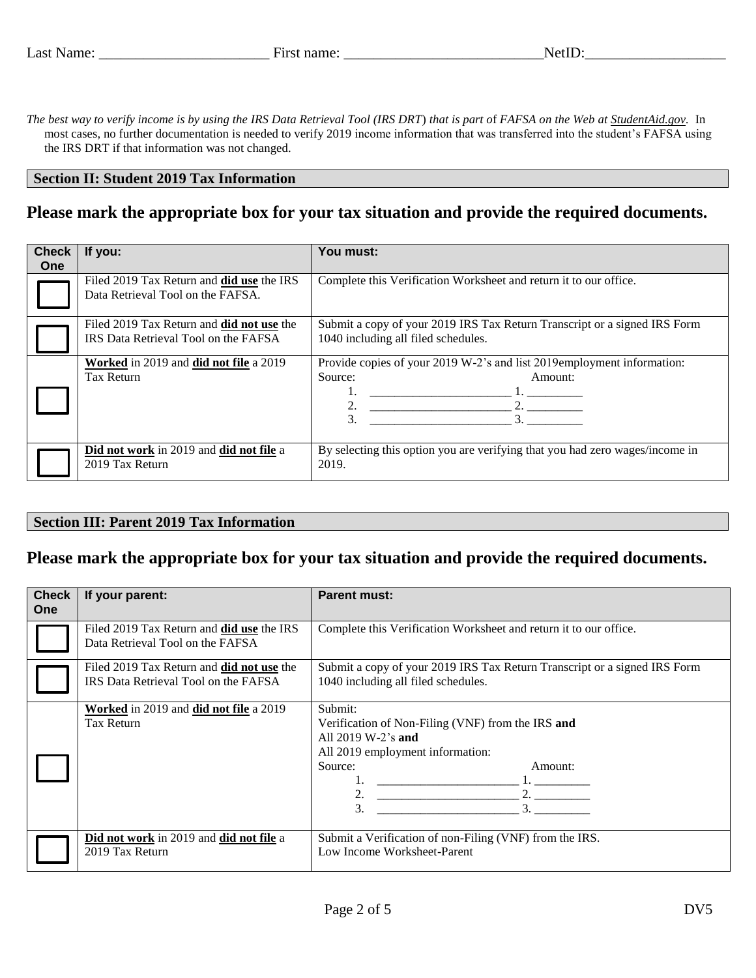*The best way to verify income is by using the IRS Data Retrieval Tool (IRS DRT*) *that is part o*f *FAFSA on the Web at StudentAid.gov.* In most cases, no further documentation is needed to verify 2019 income information that was transferred into the student's FAFSA using the IRS DRT if that information was not changed.

#### **Section II: Student 2019 Tax Information**

## **Please mark the appropriate box for your tax situation and provide the required documents.**

| <b>Check</b><br><b>One</b> | If you:                                                                                  | You must:                                                                                                        |  |  |
|----------------------------|------------------------------------------------------------------------------------------|------------------------------------------------------------------------------------------------------------------|--|--|
|                            | Filed 2019 Tax Return and <b>did use</b> the IRS<br>Data Retrieval Tool on the FAFSA.    | Complete this Verification Worksheet and return it to our office.                                                |  |  |
|                            | Filed 2019 Tax Return and <b>did not use</b> the<br>IRS Data Retrieval Tool on the FAFSA | Submit a copy of your 2019 IRS Tax Return Transcript or a signed IRS Form<br>1040 including all filed schedules. |  |  |
|                            | Worked in 2019 and did not file a 2019<br>Tax Return                                     | Provide copies of your 2019 W-2's and list 2019employment information:<br>Source:<br>Amount:<br>2.<br>3.<br>3    |  |  |
|                            | Did not work in 2019 and did not file a<br>2019 Tax Return                               | By selecting this option you are verifying that you had zero wages/income in<br>2019.                            |  |  |

#### **Section III: Parent 2019 Tax Information**

## **Please mark the appropriate box for your tax situation and provide the required documents.**

| <b>Check</b><br><b>One</b> | If your parent:                                                                          | <b>Parent must:</b>                                                                                                                                         |  |  |
|----------------------------|------------------------------------------------------------------------------------------|-------------------------------------------------------------------------------------------------------------------------------------------------------------|--|--|
|                            | Filed 2019 Tax Return and <b>did use</b> the IRS<br>Data Retrieval Tool on the FAFSA     | Complete this Verification Worksheet and return it to our office.                                                                                           |  |  |
|                            | Filed 2019 Tax Return and <b>did not use</b> the<br>IRS Data Retrieval Tool on the FAFSA | Submit a copy of your 2019 IRS Tax Return Transcript or a signed IRS Form<br>1040 including all filed schedules.                                            |  |  |
|                            | Worked in 2019 and did not file a 2019<br>Tax Return                                     | Submit:<br>Verification of Non-Filing (VNF) from the IRS and<br>All $2019 W-2$ 's and<br>All 2019 employment information:<br>Source:<br>Amount:<br>2.<br>3. |  |  |
|                            | Did not work in 2019 and did not file a<br>2019 Tax Return                               | Submit a Verification of non-Filing (VNF) from the IRS.<br>Low Income Worksheet-Parent                                                                      |  |  |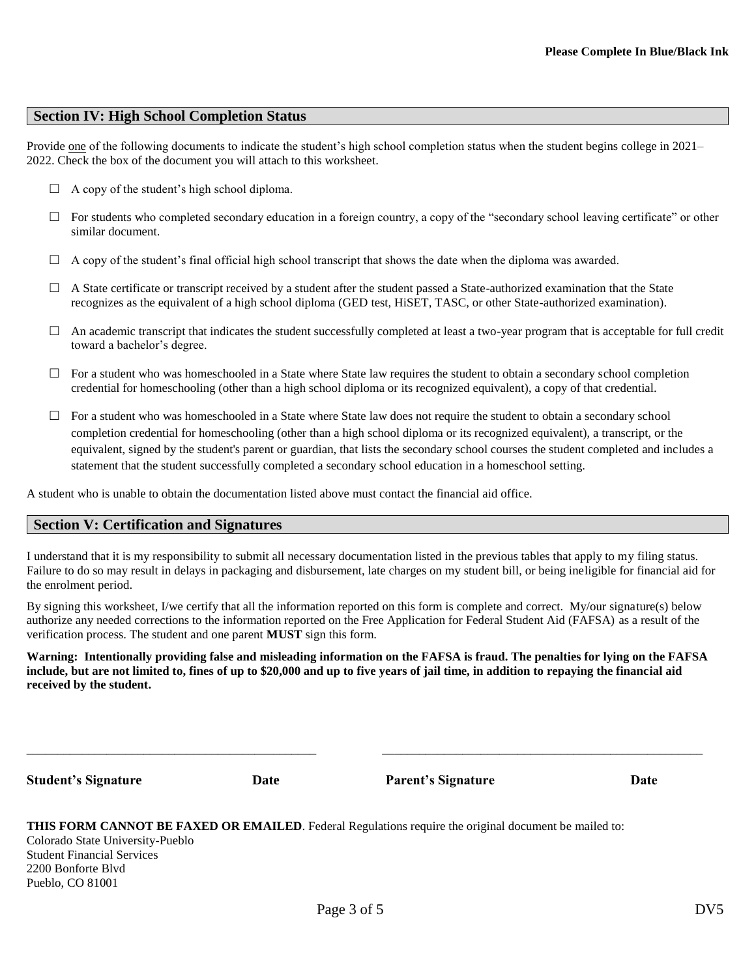### **Section IV: High School Completion Status**

Provide one of the following documents to indicate the student's high school completion status when the student begins college in 2021– 2022. Check the box of the document you will attach to this worksheet.

- $\Box$  A copy of the student's high school diploma.
- $\Box$  For students who completed secondary education in a foreign country, a copy of the "secondary school leaving certificate" or other similar document.
- $\Box$  A copy of the student's final official high school transcript that shows the date when the diploma was awarded.
- $\Box$  A State certificate or transcript received by a student after the student passed a State-authorized examination that the State recognizes as the equivalent of a high school diploma (GED test, HiSET, TASC, or other State-authorized examination).
- $\Box$  An academic transcript that indicates the student successfully completed at least a two-year program that is acceptable for full credit toward a bachelor's degree.
- $\Box$  For a student who was homeschooled in a State where State law requires the student to obtain a secondary school completion credential for homeschooling (other than a high school diploma or its recognized equivalent), a copy of that credential.
- $\Box$  For a student who was homeschooled in a State where State law does not require the student to obtain a secondary school completion credential for homeschooling (other than a high school diploma or its recognized equivalent), a transcript, or the equivalent, signed by the student's parent or guardian, that lists the secondary school courses the student completed and includes a statement that the student successfully completed a secondary school education in a homeschool setting.

A student who is unable to obtain the documentation listed above must contact the financial aid office.

#### **Section V: Certification and Signatures**

I understand that it is my responsibility to submit all necessary documentation listed in the previous tables that apply to my filing status. Failure to do so may result in delays in packaging and disbursement, late charges on my student bill, or being ineligible for financial aid for the enrolment period.

By signing this worksheet, I/we certify that all the information reported on this form is complete and correct. My/our signature(s) below authorize any needed corrections to the information reported on the Free Application for Federal Student Aid (FAFSA) as a result of the verification process. The student and one parent **MUST** sign this form.

**Warning: Intentionally providing false and misleading information on the FAFSA is fraud. The penalties for lying on the FAFSA include, but are not limited to, fines of up to \$20,000 and up to five years of jail time, in addition to repaying the financial aid received by the student.**

\_\_\_\_\_\_\_\_\_\_\_\_\_\_\_\_\_\_\_\_\_\_\_\_\_\_\_\_\_\_\_\_\_\_\_\_\_\_\_\_\_\_\_\_\_\_\_ \_\_\_\_\_\_\_\_\_\_\_\_\_\_\_\_\_\_\_\_\_\_\_\_\_\_\_\_\_\_\_\_\_\_\_\_\_\_\_\_\_\_\_\_\_\_\_\_\_\_\_\_

**Student's Signature Date Parent's Signature Date**

**THIS FORM CANNOT BE FAXED OR EMAILED**. Federal Regulations require the original document be mailed to: Colorado State University-Pueblo Student Financial Services 2200 Bonforte Blvd Pueblo, CO 81001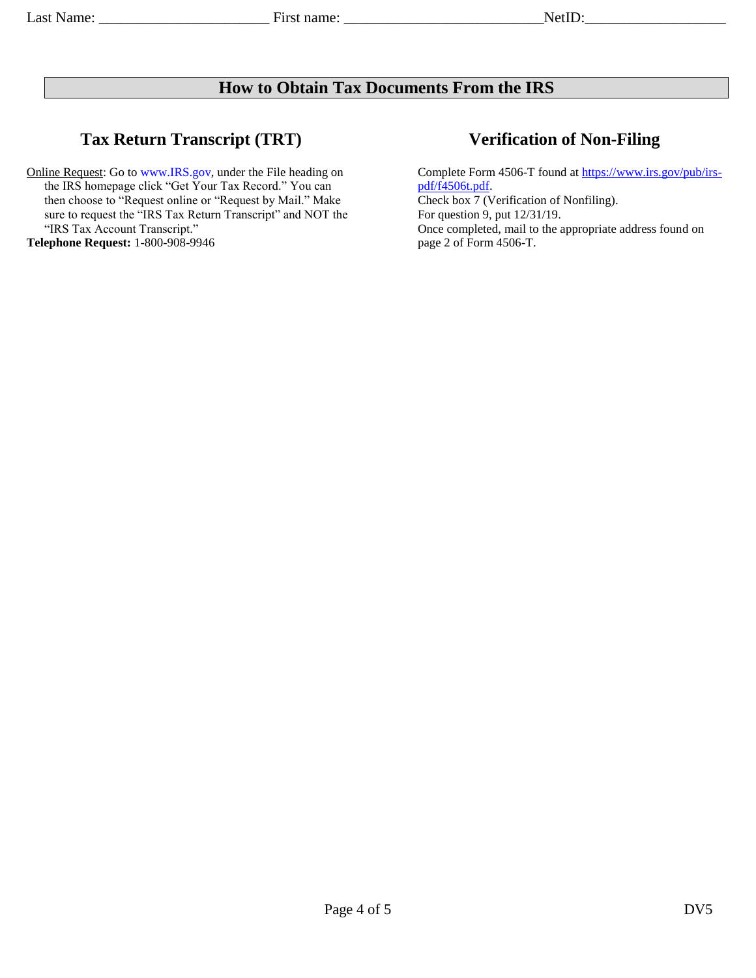# **How to Obtain Tax Documents From the IRS**

# **Tax Return Transcript (TRT) Verification of Non-Filing**

Online Request: Go to [www.IRS.gov,](http://www.irs.gov/) under the File heading on the IRS homepage click "Get Your Tax Record." You can then choose to "Request online or "Request by Mail." Make sure to request the "IRS Tax Return Transcript" and NOT the "IRS Tax Account Transcript." **Telephone Request:** 1-800-908-9946

Complete Form 4506-T found at [https://www.irs.gov/pub/irs](https://www.irs.gov/pub/irs-pdf/f4506t.pdf)[pdf/f4506t.pdf.](https://www.irs.gov/pub/irs-pdf/f4506t.pdf) Check box 7 (Verification of Nonfiling). For question 9, put 12/31/19. Once completed, mail to the appropriate address found on page 2 of Form 4506-T.